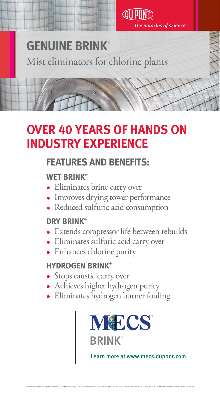



The miracles of science™

# **OVER 40 YEARS OF HANDS ON INDUSTRY EXPERIENCE**

## **FEATURES AND BENEFITS:**

#### **WET BRINK®**

- Eliminates brine carry over
- Improves drying tower performance • Reduced sulfuric acid consumption

### **DRY BRINK®**

- Extends compressor life between rebuilds
- Eliminates sulfuric acid carry over
- Enhances chlorine purity

### **HYDROGEN BRINK®**

- Stops caustic carry over
- Achieves higher hydrogen purity
- 

## • Eliminates hydrogen burner fouling

# **GENUINE BRINK**® Mist eliminators for chlorine plants



#### Learn more at www.mecs.dupont.com

Copyright© 2013 MECS. All rights reserved. The DuPont Oval Logo, DuPont™, The miracles of science™, BRINK® and MECS® are registered trademarks or trademarks of E.I. du Pont de Nemours and Company or its affiliates.